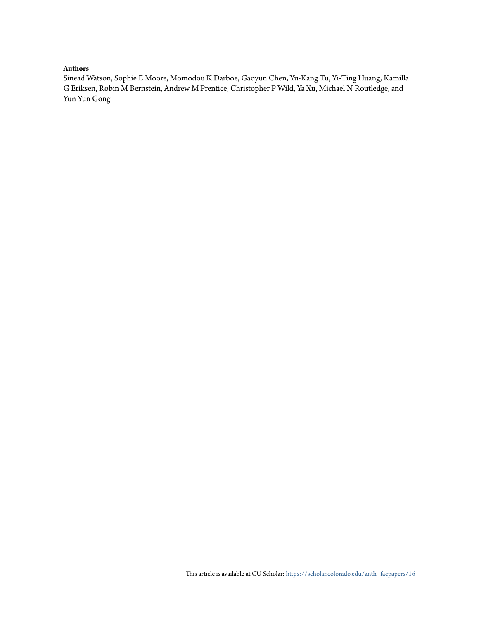# **Authors**

Sinead Watson, Sophie E Moore, Momodou K Darboe, Gaoyun Chen, Yu-Kang Tu, Yi-Ting Huang, Kamilla G Eriksen, Robin M Bernstein, Andrew M Prentice, Christopher P Wild, Ya Xu, Michael N Routledge, and Yun Yun Gong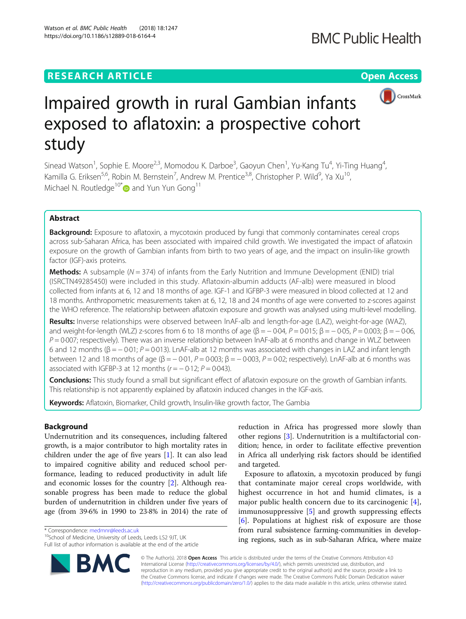# **RESEARCH ARTICLE Example 2018 12:30 THE Open Access**

Watson et al. BMC Public Health (2018) 18:1247 https://doi.org/10.1186/s12889-018-6164-4



# Impaired growth in rural Gambian infants exposed to aflatoxin: a prospective cohort study

Sinead Watson<sup>1</sup>, Sophie E. Moore<sup>2,3</sup>, Momodou K. Darboe<sup>3</sup>, Gaoyun Chen<sup>1</sup>, Yu-Kang Tu<sup>4</sup>, Yi-Ting Huang<sup>4</sup> , Kamilla G. Eriksen<sup>5,6</sup>, Robin M. Bernstein<sup>7</sup>, Andrew M. Prentice<sup>3,8</sup>, Christopher P. Wild<sup>9</sup>, Ya Xu<sup>10</sup>, Michael N. Routledge<sup>10\*</sup> $\bullet$  and Yun Yun Gong<sup>11</sup>

# Abstract

**Background:** Exposure to aflatoxin, a mycotoxin produced by fungi that commonly contaminates cereal crops across sub-Saharan Africa, has been associated with impaired child growth. We investigated the impact of aflatoxin exposure on the growth of Gambian infants from birth to two years of age, and the impact on insulin-like growth factor (IGF)-axis proteins.

**Methods:** A subsample ( $N = 374$ ) of infants from the Early Nutrition and Immune Development (ENID) trial (ISRCTN49285450) were included in this study. Aflatoxin-albumin adducts (AF-alb) were measured in blood collected from infants at 6, 12 and 18 months of age. IGF-1 and IGFBP-3 were measured in blood collected at 12 and 18 months. Anthropometric measurements taken at 6, 12, 18 and 24 months of age were converted to z-scores against the WHO reference. The relationship between aflatoxin exposure and growth was analysed using multi-level modelling.

Results: Inverse relationships were observed between InAF-alb and length-for-age (LAZ), weight-for-age (WAZ), and weight-for-length (WLZ) z-scores from 6 to 18 months of age ( $\beta = -0.04$ ,  $P = 0.015$ ;  $\beta = -0.05$ ,  $P = 0.003$ ;  $\beta = -0.06$ ,  $P = 0.007$ ; respectively). There was an inverse relationship between InAF-alb at 6 months and change in WLZ between 6 and 12 months ( $\beta = -0.01$ ;  $P = 0.013$ ). LnAF-alb at 12 months was associated with changes in LAZ and infant length between 12 and 18 months of age ( $\beta = -0.01$ ,  $P = 0.003$ ;  $\beta = -0.003$ ,  $P = 0.02$ ; respectively). LnAF-alb at 6 months was associated with IGFBP-3 at 12 months  $(r = -0.12; P = 0.043)$ .

Conclusions: This study found a small but significant effect of aflatoxin exposure on the growth of Gambian infants. This relationship is not apparently explained by aflatoxin induced changes in the IGF-axis.

Keywords: Aflatoxin, Biomarker, Child growth, Insulin-like growth factor, The Gambia

# Background

Undernutrition and its consequences, including faltered growth, is a major contributor to high mortality rates in children under the age of five years [1]. It can also lead to impaired cognitive ability and reduced school performance, leading to reduced productivity in adult life and economic losses for the country [2]. Although reasonable progress has been made to reduce the global burden of undernutrition in children under five years of age (from 39·6% in 1990 to 23·8% in 2014) the rate of

\* Correspondence: [medmnr@leeds.ac.uk](mailto:medmnr@leeds.ac.uk) 10School of Medicine, University of Leeds, Leeds LS2 9JT, UK Full list of author information is available at the end of the article



Exposure to aflatoxin, a mycotoxin produced by fungi that contaminate major cereal crops worldwide, with highest occurrence in hot and humid climates, is a major public health concern due to its carcinogenic [4], immunosuppressive [5] and growth suppressing effects [6]. Populations at highest risk of exposure are those from rural subsistence farming-communities in developing regions, such as in sub-Saharan Africa, where maize



© The Author(s). 2018 Open Access This article is distributed under the terms of the Creative Commons Attribution 4.0 International License [\(http://creativecommons.org/licenses/by/4.0/](http://creativecommons.org/licenses/by/4.0/)), which permits unrestricted use, distribution, and reproduction in any medium, provided you give appropriate credit to the original author(s) and the source, provide a link to the Creative Commons license, and indicate if changes were made. The Creative Commons Public Domain Dedication waiver [\(http://creativecommons.org/publicdomain/zero/1.0/](http://creativecommons.org/publicdomain/zero/1.0/)) applies to the data made available in this article, unless otherwise stated.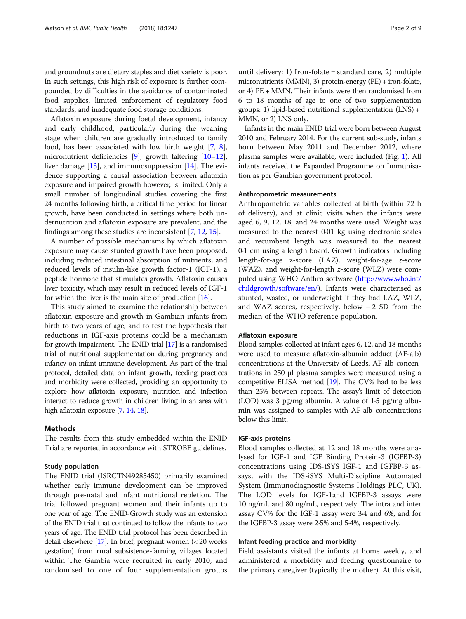and groundnuts are dietary staples and diet variety is poor. In such settings, this high risk of exposure is further compounded by difficulties in the avoidance of contaminated food supplies, limited enforcement of regulatory food standards, and inadequate food storage conditions.

Aflatoxin exposure during foetal development, infancy and early childhood, particularly during the weaning stage when children are gradually introduced to family food, has been associated with low birth weight [7, 8], micronutrient deficiencies [9], growth faltering [10–12], liver damage [13], and immunosuppression [14]. The evidence supporting a causal association between aflatoxin exposure and impaired growth however, is limited. Only a small number of longitudinal studies covering the first 24 months following birth, a critical time period for linear growth, have been conducted in settings where both undernutrition and aflatoxin exposure are prevalent, and the findings among these studies are inconsistent [7, 12, 15].

A number of possible mechanisms by which aflatoxin exposure may cause stunted growth have been proposed, including reduced intestinal absorption of nutrients, and reduced levels of insulin-like growth factor-1 (IGF-1), a peptide hormone that stimulates growth. Aflatoxin causes liver toxicity, which may result in reduced levels of IGF-1 for which the liver is the main site of production [16].

This study aimed to examine the relationship between aflatoxin exposure and growth in Gambian infants from birth to two years of age, and to test the hypothesis that reductions in IGF-axis proteins could be a mechanism for growth impairment. The ENID trial [17] is a randomised trial of nutritional supplementation during pregnancy and infancy on infant immune development. As part of the trial protocol, detailed data on infant growth, feeding practices and morbidity were collected, providing an opportunity to explore how aflatoxin exposure, nutrition and infection interact to reduce growth in children living in an area with high aflatoxin exposure [7, 14, 18].

#### Methods

The results from this study embedded within the ENID Trial are reported in accordance with STROBE guidelines.

#### Study population

The ENID trial (ISRCTN49285450) primarily examined whether early immune development can be improved through pre-natal and infant nutritional repletion. The trial followed pregnant women and their infants up to one year of age. The ENID-Growth study was an extension of the ENID trial that continued to follow the infants to two years of age. The ENID trial protocol has been described in detail elsewhere [17]. In brief, pregnant women (< 20 weeks gestation) from rural subsistence-farming villages located within The Gambia were recruited in early 2010, and randomised to one of four supplementation groups

until delivery: 1) Iron-folate = standard care, 2) multiple micronutrients (MMN), 3) protein-energy (PE) + iron-folate, or 4) PE + MMN. Their infants were then randomised from 6 to 18 months of age to one of two supplementation groups: 1) lipid-based nutritional supplementation (LNS) + MMN, or 2) LNS only.

Infants in the main ENID trial were born between August 2010 and February 2014. For the current sub-study, infants born between May 2011 and December 2012, where plasma samples were available, were included (Fig. 1). All infants received the Expanded Programme on Immunisation as per Gambian government protocol.

# Anthropometric measurements

Anthropometric variables collected at birth (within 72 h of delivery), and at clinic visits when the infants were aged 6, 9, 12, 18, and 24 months were used. Weight was measured to the nearest 0·01 kg using electronic scales and recumbent length was measured to the nearest 0·1 cm using a length board. Growth indicators including length-for-age z-score (LAZ), weight-for-age z-score (WAZ), and weight-for-length z-score (WLZ) were computed using WHO Anthro software [\(http://www.who.int/](http://www.who.int/childgrowth/software/en/) [childgrowth/software/en/](http://www.who.int/childgrowth/software/en/)). Infants were characterised as stunted, wasted, or underweight if they had LAZ, WLZ, and WAZ scores, respectively, below − 2 SD from the median of the WHO reference population.

#### Aflatoxin exposure

Blood samples collected at infant ages 6, 12, and 18 months were used to measure aflatoxin-albumin adduct (AF-alb) concentrations at the University of Leeds. AF-alb concentrations in 250 μl plasma samples were measured using a competitive ELISA method [19]. The CV% had to be less than 25% between repeats. The assay's limit of detection (LOD) was 3 pg/mg albumin. A value of 1·5 pg/mg albumin was assigned to samples with AF-alb concentrations below this limit.

#### IGF-axis proteins

Blood samples collected at 12 and 18 months were analysed for IGF-1 and IGF Binding Protein-3 (IGFBP-3) concentrations using IDS-iSYS IGF-1 and IGFBP-3 assays, with the IDS-iSYS Multi-Discipline Automated System (Immunodiagnostic Systems Holdings PLC, UK). The LOD levels for IGF-1and IGFBP-3 assays were 10 ng/mL and 80 ng/mL, respectively. The intra and inter assay CV% for the IGF-1 assay were 3·4 and 6%, and for the IGFBP-3 assay were 2·5% and 5·4%, respectively.

#### Infant feeding practice and morbidity

Field assistants visited the infants at home weekly, and administered a morbidity and feeding questionnaire to the primary caregiver (typically the mother). At this visit,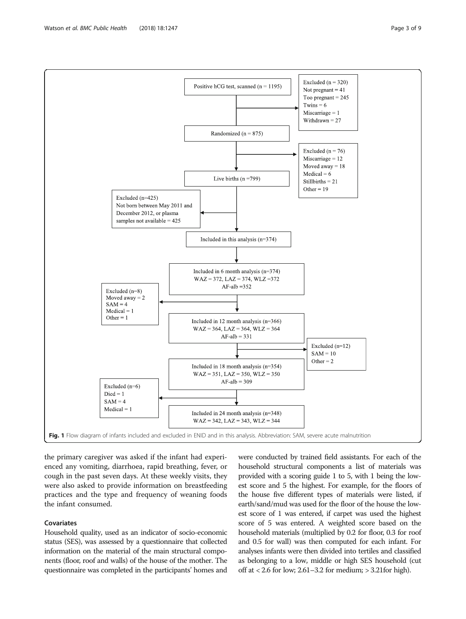the primary caregiver was asked if the infant had experienced any vomiting, diarrhoea, rapid breathing, fever, or cough in the past seven days. At these weekly visits, they were also asked to provide information on breastfeeding practices and the type and frequency of weaning foods the infant consumed.

# Covariates

Household quality, used as an indicator of socio-economic status (SES), was assessed by a questionnaire that collected information on the material of the main structural components (floor, roof and walls) of the house of the mother. The questionnaire was completed in the participants' homes and

were conducted by trained field assistants. For each of the household structural components a list of materials was provided with a scoring guide 1 to 5, with 1 being the lowest score and 5 the highest. For example, for the floors of the house five different types of materials were listed, if earth/sand/mud was used for the floor of the house the lowest score of 1 was entered, if carpet was used the highest score of 5 was entered. A weighted score based on the household materials (multiplied by 0.2 for floor, 0.3 for roof and 0.5 for wall) was then computed for each infant. For analyses infants were then divided into tertiles and classified as belonging to a low, middle or high SES household (cut off at < 2.6 for low; 2.61–3.2 for medium; > 3.21for high).

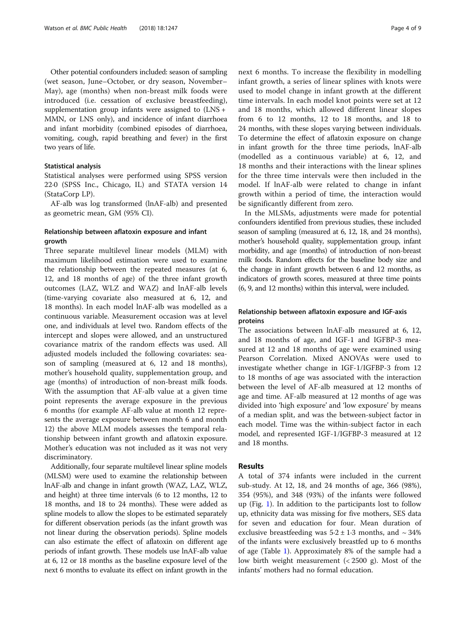Other potential confounders included: season of sampling (wet season, June–October, or dry season, November– May), age (months) when non-breast milk foods were introduced (i.e. cessation of exclusive breastfeeding), supplementation group infants were assigned to (LNS + MMN, or LNS only), and incidence of infant diarrhoea and infant morbidity (combined episodes of diarrhoea, vomiting, cough, rapid breathing and fever) in the first two years of life.

# Statistical analysis

Statistical analyses were performed using SPSS version 22·0 (SPSS Inc., Chicago, IL) and STATA version 14 (StataCorp LP).

AF-alb was log transformed (lnAF-alb) and presented as geometric mean, GM (95% CI).

# Relationship between aflatoxin exposure and infant growth

Three separate multilevel linear models (MLM) with maximum likelihood estimation were used to examine the relationship between the repeated measures (at 6, 12, and 18 months of age) of the three infant growth outcomes (LAZ, WLZ and WAZ) and lnAF-alb levels (time-varying covariate also measured at 6, 12, and 18 months). In each model lnAF-alb was modelled as a continuous variable. Measurement occasion was at level one, and individuals at level two. Random effects of the intercept and slopes were allowed, and an unstructured covariance matrix of the random effects was used. All adjusted models included the following covariates: season of sampling (measured at 6, 12 and 18 months), mother's household quality, supplementation group, and age (months) of introduction of non-breast milk foods. With the assumption that AF-alb value at a given time point represents the average exposure in the previous 6 months (for example AF-alb value at month 12 represents the average exposure between month 6 and month 12) the above MLM models assesses the temporal relationship between infant growth and aflatoxin exposure. Mother's education was not included as it was not very discriminatory.

Additionally, four separate multilevel linear spline models (MLSM) were used to examine the relationship between lnAF-alb and change in infant growth (WAZ, LAZ, WLZ, and height) at three time intervals (6 to 12 months, 12 to 18 months, and 18 to 24 months). These were added as spline models to allow the slopes to be estimated separately for different observation periods (as the infant growth was not linear during the observation periods). Spline models can also estimate the effect of aflatoxin on different age periods of infant growth. These models use lnAF-alb value at 6, 12 or 18 months as the baseline exposure level of the next 6 months to evaluate its effect on infant growth in the next 6 months. To increase the flexibility in modelling infant growth, a series of linear splines with knots were used to model change in infant growth at the different time intervals. In each model knot points were set at 12 and 18 months, which allowed different linear slopes from 6 to 12 months, 12 to 18 months, and 18 to 24 months, with these slopes varying between individuals. To determine the effect of aflatoxin exposure on change in infant growth for the three time periods, lnAF-alb (modelled as a continuous variable) at 6, 12, and 18 months and their interactions with the linear splines for the three time intervals were then included in the model. If lnAF-alb were related to change in infant growth within a period of time, the interaction would be significantly different from zero.

In the MLSMs, adjustments were made for potential confounders identified from previous studies, these included season of sampling (measured at 6, 12, 18, and 24 months), mother's household quality, supplementation group, infant morbidity, and age (months) of introduction of non-breast milk foods. Random effects for the baseline body size and the change in infant growth between 6 and 12 months, as indicators of growth scores, measured at three time points (6, 9, and 12 months) within this interval, were included.

# Relationship between aflatoxin exposure and IGF-axis proteins

The associations between lnAF-alb measured at 6, 12, and 18 months of age, and IGF-1 and IGFBP-3 measured at 12 and 18 months of age were examined using Pearson Correlation. Mixed ANOVAs were used to investigate whether change in IGF-1/IGFBP-3 from 12 to 18 months of age was associated with the interaction between the level of AF-alb measured at 12 months of age and time. AF-alb measured at 12 months of age was divided into 'high exposure' and 'low exposure' by means of a median split, and was the between-subject factor in each model. Time was the within-subject factor in each model, and represented IGF-1/IGFBP-3 measured at 12 and 18 months.

# Results

A total of 374 infants were included in the current sub-study. At 12, 18, and 24 months of age, 366 (98%), 354 (95%), and 348 (93%) of the infants were followed up (Fig. 1). In addition to the participants lost to follow up, ethnicity data was missing for five mothers, SES data for seven and education for four. Mean duration of exclusive breastfeeding was  $5.2 \pm 1.3$  months, and  $\sim 34\%$ of the infants were exclusively breastfed up to 6 months of age (Table 1). Approximately 8% of the sample had a low birth weight measurement (< 2500 g). Most of the infants' mothers had no formal education.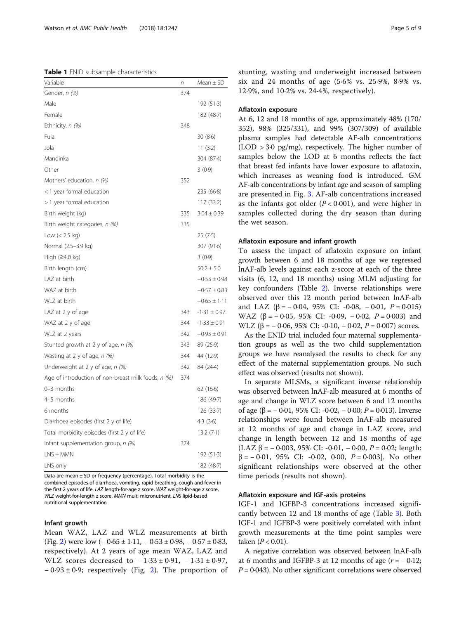Table 1 ENID subsample characteristics

| Variable                                            | n   | Mean $\pm$ SD    |
|-----------------------------------------------------|-----|------------------|
| Gender, n (%)                                       | 374 |                  |
| Male                                                |     | 192 (51.3)       |
| Female                                              |     | 182 (48.7)       |
| Ethnicity, n (%)                                    | 348 |                  |
| Fula                                                |     | 30(8.6)          |
| Jola                                                |     | 11 $(3.2)$       |
| Mandinka                                            |     | 304 (87.4)       |
| Other                                               |     | 3(0.9)           |
| Mothers' education, n (%)                           | 352 |                  |
| < 1 year formal education                           |     | 235 (66.8)       |
| > 1 year formal education                           |     | 117 (33.2)       |
| Birth weight (kg)                                   | 335 | $3.04 \pm 0.39$  |
| Birth weight categories, n (%)                      | 335 |                  |
| Low $(< 2.5$ kg)                                    |     | 25 (7.5)         |
| Normal (2.5-3.9 kg)                                 |     | 307 (91.6)       |
| High $(≥4.0 kg)$                                    |     | 3(0.9)           |
| Birth length (cm)                                   |     | $50.2 \pm 5.0$   |
| LAZ at birth                                        |     | $-0.53 \pm 0.98$ |
| WAZ at birth                                        |     | $-0.57 \pm 0.83$ |
| WLZ at birth                                        |     | $-0.65 \pm 1.11$ |
| LAZ at 2 y of age                                   | 343 | $-1.31 \pm 0.97$ |
| WAZ at 2 y of age                                   | 344 | $-1.33 \pm 0.91$ |
| WLZ at 2 years                                      | 342 | $-0.93 \pm 0.91$ |
| Stunted growth at 2 y of age, n (%)                 | 343 | 89 (25.9)        |
| Wasting at 2 y of age, $n$ (%)                      | 344 | 44 (12.9)        |
| Underweight at 2 y of age, $n$ (%)                  | 342 | 84 (24-4)        |
| Age of introduction of non-breast milk foods, n (%) | 374 |                  |
| 0-3 months                                          |     | 62 (16.6)        |
| 4-5 months                                          |     | 186 (49.7)       |
| 6 months                                            |     | 126 (33.7)       |
| Diarrhoea episodes (first 2 y of life)              |     | 4.3(3.6)         |
| Total morbidity episodes (first 2 y of life)        |     | 13.2(7.1)        |
| Infant supplementation group, $n$ (%)               | 374 |                  |
| $L$ NS + MMN                                        |     | 192(51.3)        |
| LNS only                                            |     | 182 (48.7)       |

Data are mean  $\pm$  SD or frequency (percentage). Total morbidity is the combined episodes of diarrhoea, vomiting, rapid breathing, cough and fever in the first 2 years of life. LAZ length-for-age z score, WAZ weight-for-age z score, WLZ weight-for-length z score, MMN multi micronutrient, LNS lipid-based nutritional supplementation

#### Infant growth

Mean WAZ, LAZ and WLZ measurements at birth (Fig. 2) were low  $(-0.65 \pm 1.11, -0.53 \pm 0.98, -0.57 \pm 0.83,$ respectively). At 2 years of age mean WAZ, LAZ and WLZ scores decreased to − 1·33 ± 0·91, − 1·31 ± 0·97, − 0·93 ± 0·9; respectively (Fig. 2). The proportion of stunting, wasting and underweight increased between six and 24 months of age (5·6% vs. 25·9%, 8·9% vs. 12·9%, and 10·2% vs. 24·4%, respectively).

# Aflatoxin exposure

At 6, 12 and 18 months of age, approximately 48% (170/ 352), 98% (325/331), and 99% (307/309) of available plasma samples had detectable AF-alb concentrations (LOD > 3·0 pg/mg), respectively. The higher number of samples below the LOD at 6 months reflects the fact that breast fed infants have lower exposure to aflatoxin, which increases as weaning food is introduced. GM AF-alb concentrations by infant age and season of sampling are presented in Fig. 3. AF-alb concentrations increased as the infants got older  $(P < 0.001)$ , and were higher in samples collected during the dry season than during the wet season.

#### Aflatoxin exposure and infant growth

To assess the impact of aflatoxin exposure on infant growth between 6 and 18 months of age we regressed lnAF-alb levels against each z-score at each of the three visits (6, 12, and 18 months) using MLM adjusting for key confounders (Table 2). Inverse relationships were observed over this 12 month period between lnAF-alb and LAZ  $(\beta = -0.04, 95\% \text{ CI: } -0.08, -0.01, P = 0.015)$ WAZ (β =  $-0.05$ , 95% CI:  $-0.09$ ,  $-0.02$ ,  $P = 0.003$ ) and WLZ (β =  $-$  0·06, 95% CI:  $-$ 0·10,  $-$  0·02,  $P = 0$ ·007) scores.

As the ENID trial included four maternal supplementation groups as well as the two child supplementation groups we have reanalysed the results to check for any effect of the maternal supplementation groups. No such effect was observed (results not shown).

In separate MLSMs, a significant inverse relationship was observed between lnAF-alb measured at 6 months of age and change in WLZ score between 6 and 12 months of age (β =  $-$  0·01, 95% CI: -0·02,  $-$  0·00;  $P$  = 0·013). Inverse relationships were found between lnAF-alb measured at 12 months of age and change in LAZ score, and change in length between 12 and 18 months of age (LAZ β = − 0·003, 95% CI: -0·01, − 0·00, P = 0·02; length:  $\beta = -0.01$ , 95% CI: -0.02, 0.00,  $P = 0.003$ . No other significant relationships were observed at the other time periods (results not shown).

# Aflatoxin exposure and IGF-axis proteins

IGF-1 and IGFBP-3 concentrations increased significantly between 12 and 18 months of age (Table 3). Both IGF-1 and IGFBP-3 were positively correlated with infant growth measurements at the time point samples were taken (*P* < 0.01).

A negative correlation was observed between lnAF-alb at 6 months and IGFBP-3 at 12 months of age  $(r = -0.12;$  $P = 0.043$ ). No other significant correlations were observed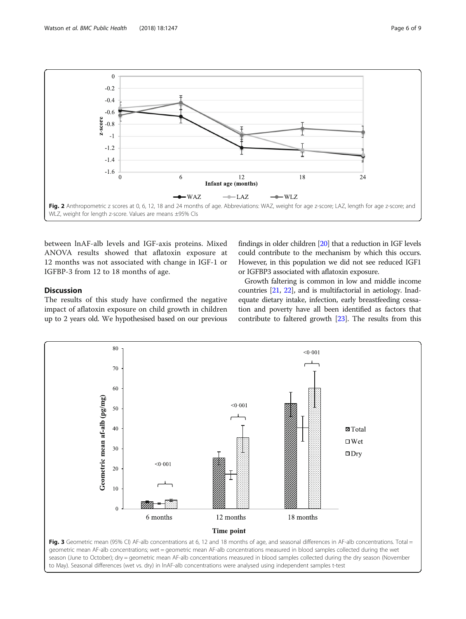

between lnAF-alb levels and IGF-axis proteins. Mixed ANOVA results showed that aflatoxin exposure at 12 months was not associated with change in IGF-1 or IGFBP-3 from 12 to 18 months of age.

# **Discussion**

The results of this study have confirmed the negative impact of aflatoxin exposure on child growth in children up to 2 years old. We hypothesised based on our previous

findings in older children [20] that a reduction in IGF levels could contribute to the mechanism by which this occurs. However, in this population we did not see reduced IGF1 or IGFBP3 associated with aflatoxin exposure.

Growth faltering is common in low and middle income countries [21, 22], and is multifactorial in aetiology. Inadequate dietary intake, infection, early breastfeeding cessation and poverty have all been identified as factors that contribute to faltered growth [23]. The results from this

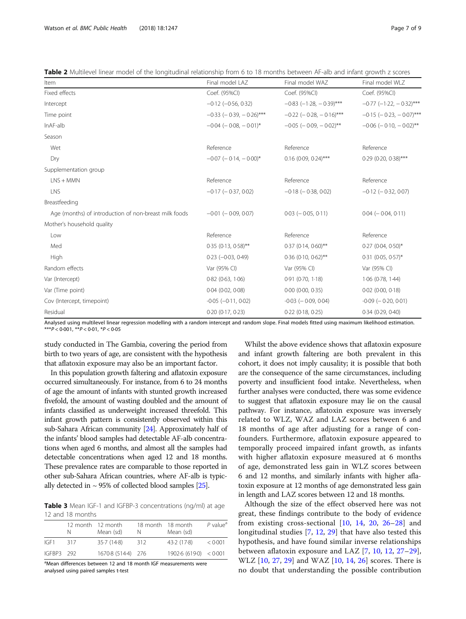Table 2 Multilevel linear model of the longitudinal relationship from 6 to 18 months between AF-alb and infant growth z scores

| Item                                                  | Final model LAZ                  | Final model WAZ                  | Final model WLZ                  |
|-------------------------------------------------------|----------------------------------|----------------------------------|----------------------------------|
| Fixed effects                                         | Coef. (95%CI)                    | Coef. (95%CI)                    | Coef. (95%CI)                    |
| Intercept                                             | $-0.12$ ( $-0.56$ , 0.32)        | $-0.83$ ( $-1.28$ , $-0.39$ )*** | $-0.77$ ( $-1.22$ , $-0.32$ )*** |
| Time point                                            | $-0.33$ ( $-0.39$ , $-0.26$ )*** | $-0.22$ ( $-0.28$ , $-0.16$ )*** | $-0.15$ ( $-0.23$ , $-0.07$ )*** |
| InAF-alb                                              | $-0.04$ ( $-0.08$ , $-0.01$ )*   | $-0.05$ ( $-0.09$ , $-0.02$ )**  | $-0.06$ ( $-0.10$ , $-0.02$ )**  |
| Season                                                |                                  |                                  |                                  |
| Wet                                                   | Reference                        | Reference                        | Reference                        |
| Dry                                                   | $-0.07$ ( $-0.14$ , $-0.00$ )*   | $0.16$ (0.09, 0.24)***           | $0.29$ (0.20, 0.38)***           |
| Supplementation group                                 |                                  |                                  |                                  |
| $L$ NS + MMN                                          | Reference                        | Reference                        | Reference                        |
| LNS                                                   | $-0.17$ ( $-0.37$ , 0.02)        | $-0.18$ ( $-0.38$ , 0.02)        | $-0.12$ ( $-0.32$ , 0.07)        |
| Breastfeeding                                         |                                  |                                  |                                  |
| Age (months) of introduction of non-breast milk foods | $-0.01$ ( $-0.09$ , $0.07$ )     | $0.03$ ( $-0.05$ , $0.11$ )      | $0.04 (-0.04, 0.11)$             |
| Mother's household quality                            |                                  |                                  |                                  |
| Low                                                   | Reference                        | Reference                        | Reference                        |
| Med                                                   | $0.35$ (0.13, 0.58)**            | $0.37$ (0.14, 0.60)**            | $0.27$ (0.04, 0.50)*             |
| High                                                  | $0.23$ $(-0.03, 0.49)$           | $0.36$ (0.10, 0.62)**            | $0.31$ (0.05, 0.57)*             |
| Random effects                                        | Var (95% CI)                     | Var (95% CI)                     | Var (95% CI)                     |
| Var (Intercept)                                       | 0.82(0.63, 1.06)                 | 0.91(0.70, 1.18)                 | 1.06 (0.78, 1.44)                |
| Var (Time point)                                      | 0.04(0.02, 0.08)                 | 0.00(0.00, 0.35)                 | $0.02$ (0.00, 0.18)              |
| Cov (Intercept, timepoint)                            | $-0.05$ $(-0.11, 0.02)$          | $-0.03$ ( $-0.09$ , $0.04$ )     | $-0.09$ ( $-0.20, 0.01$ )        |
| Residual                                              | 0.20(0.17, 0.23)                 | $0.22$ (0.18, 0.25)              | 0.34(0.29, 0.40)                 |

Analysed using multilevel linear regression modelling with a random intercept and random slope. Final models fitted using maximum likelihood estimation. \*\*\* $P < 0.001$ , \*\* $P < 0.01$ , \* $P < 0.05$ 

study conducted in The Gambia, covering the period from birth to two years of age, are consistent with the hypothesis that aflatoxin exposure may also be an important factor.

In this population growth faltering and aflatoxin exposure occurred simultaneously. For instance, from 6 to 24 months of age the amount of infants with stunted growth increased fivefold, the amount of wasting doubled and the amount of infants classified as underweight increased threefold. This infant growth pattern is consistently observed within this sub-Sahara African community [24]. Approximately half of the infants' blood samples had detectable AF-alb concentrations when aged 6 months, and almost all the samples had detectable concentrations when aged 12 and 18 months. These prevalence rates are comparable to those reported in other sub-Sahara African countries, where AF-alb is typically detected in  $\sim$  95% of collected blood samples [25].

Table 3 Mean IGF-1 and IGFBP-3 concentrations (ng/ml) at age 12 and 18 months

|            | N.  | 12 month 12 month<br>Mean (sd) | N.   | 18 month 18 month<br>Mean (sd) | $P$ value <sup>a</sup> |
|------------|-----|--------------------------------|------|--------------------------------|------------------------|
| IGF1       | 317 | 35.7(14.8)                     | -312 | 43.2(17.8)                     | < 0.001                |
| IGFBP3 292 |     | 1670-8 (514-4) 276             |      | 1902.6(619.0) < 0.001          |                        |

<sup>a</sup>Mean differences between 12 and 18 month IGF measurements were analysed using paired samples t-test

Whilst the above evidence shows that aflatoxin exposure and infant growth faltering are both prevalent in this cohort, it does not imply causality; it is possible that both are the consequence of the same circumstances, including poverty and insufficient food intake. Nevertheless, when further analyses were conducted, there was some evidence to suggest that aflatoxin exposure may lie on the causal pathway. For instance, aflatoxin exposure was inversely related to WLZ, WAZ and LAZ scores between 6 and 18 months of age after adjusting for a range of confounders. Furthermore, aflatoxin exposure appeared to temporally proceed impaired infant growth, as infants with higher aflatoxin exposure measured at 6 months of age, demonstrated less gain in WLZ scores between 6 and 12 months, and similarly infants with higher aflatoxin exposure at 12 months of age demonstrated less gain in length and LAZ scores between 12 and 18 months.

Although the size of the effect observed here was not great, these findings contribute to the body of evidence from existing cross-sectional [10, 14, 20, 26–28] and longitudinal studies [7, 12, 29] that have also tested this hypothesis, and have found similar inverse relationships between aflatoxin exposure and LAZ [7, 10, 12, 27–29], WLZ [10, 27, 29] and WAZ [10, 14, 26] scores. There is no doubt that understanding the possible contribution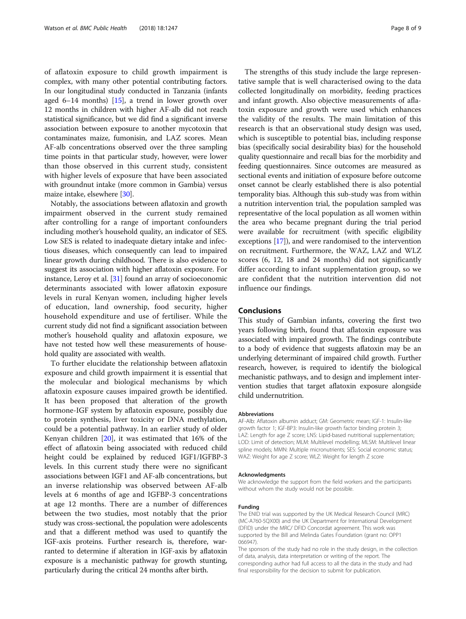of aflatoxin exposure to child growth impairment is complex, with many other potential contributing factors. In our longitudinal study conducted in Tanzania (infants aged 6–14 months)  $[15]$ , a trend in lower growth over 12 months in children with higher AF-alb did not reach statistical significance, but we did find a significant inverse association between exposure to another mycotoxin that contaminates maize, fumonisin, and LAZ scores. Mean AF-alb concentrations observed over the three sampling time points in that particular study, however, were lower than those observed in this current study, consistent with higher levels of exposure that have been associated with groundnut intake (more common in Gambia) versus maize intake, elsewhere [30].

Notably, the associations between aflatoxin and growth impairment observed in the current study remained after controlling for a range of important confounders including mother's household quality, an indicator of SES. Low SES is related to inadequate dietary intake and infectious diseases, which consequently can lead to impaired linear growth during childhood. There is also evidence to suggest its association with higher aflatoxin exposure. For instance, Leroy et al. [31] found an array of socioeconomic determinants associated with lower aflatoxin exposure levels in rural Kenyan women, including higher levels of education, land ownership, food security, higher household expenditure and use of fertiliser. While the current study did not find a significant association between mother's household quality and aflatoxin exposure, we have not tested how well these measurements of household quality are associated with wealth.

To further elucidate the relationship between aflatoxin exposure and child growth impairment it is essential that the molecular and biological mechanisms by which aflatoxin exposure causes impaired growth be identified. It has been proposed that alteration of the growth hormone-IGF system by aflatoxin exposure, possibly due to protein synthesis, liver toxicity or DNA methylation, could be a potential pathway. In an earlier study of older Kenyan children [20], it was estimated that 16% of the effect of aflatoxin being associated with reduced child height could be explained by reduced IGF1/IGFBP-3 levels. In this current study there were no significant associations between IGF1 and AF-alb concentrations, but an inverse relationship was observed between AF-alb levels at 6 months of age and IGFBP-3 concentrations at age 12 months. There are a number of differences between the two studies, most notably that the prior study was cross-sectional, the population were adolescents and that a different method was used to quantify the IGF-axis proteins. Further research is, therefore, warranted to determine if alteration in IGF-axis by aflatoxin exposure is a mechanistic pathway for growth stunting, particularly during the critical 24 months after birth.

The strengths of this study include the large representative sample that is well characterised owing to the data collected longitudinally on morbidity, feeding practices and infant growth. Also objective measurements of aflatoxin exposure and growth were used which enhances the validity of the results. The main limitation of this research is that an observational study design was used, which is susceptible to potential bias, including response bias (specifically social desirability bias) for the household quality questionnaire and recall bias for the morbidity and feeding questionnaires. Since outcomes are measured as sectional events and initiation of exposure before outcome onset cannot be clearly established there is also potential temporality bias. Although this sub-study was from within a nutrition intervention trial, the population sampled was representative of the local population as all women within the area who became pregnant during the trial period were available for recruitment (with specific eligibility exceptions [17]), and were randomised to the intervention on recruitment. Furthermore, the WAZ, LAZ and WLZ scores (6, 12, 18 and 24 months) did not significantly differ according to infant supplementation group, so we are confident that the nutrition intervention did not influence our findings.

# Conclusions

This study of Gambian infants, covering the first two years following birth, found that aflatoxin exposure was associated with impaired growth. The findings contribute to a body of evidence that suggests aflatoxin may be an underlying determinant of impaired child growth. Further research, however, is required to identify the biological mechanistic pathways, and to design and implement intervention studies that target aflatoxin exposure alongside child undernutrition.

#### Abbreviations

AF-Alb: Aflatoxin albumin adduct; GM: Geometric mean; IGF-1: Insulin-like growth factor 1; IGF-BP3: Insulin-like growth factor binding protein 3; LAZ: Length for age Z score; LNS: Lipid-based nutritional supplementation; LOD: Limit of detection; MLM: Multilevel modelling; MLSM: Multilevel linear spline models; MMN: Multiple micronutrients; SES: Social economic status; WAZ: Weight for age Z score; WLZ: Weight for length Z score

#### Acknowledgments

We acknowledge the support from the field workers and the participants without whom the study would not be possible.

#### Funding

The ENID trial was supported by the UK Medical Research Council (MRC) (MC-A760-5QX00) and the UK Department for International Development (DFID) under the MRC/ DFID Concordat agreement. This work was supported by the Bill and Melinda Gates Foundation (grant no: OPP1 066947).

The sponsors of the study had no role in the study design, in the collection of data, analysis, data interpretation or writing of the report. The corresponding author had full access to all the data in the study and had final responsibility for the decision to submit for publication.